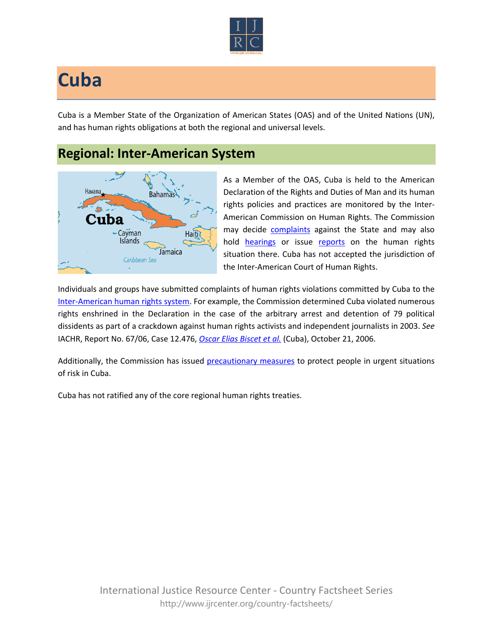

## **Cuba**

Cuba is a Member State of the Organization of American States (OAS) and of the United Nations (UN), and has human rights obligations at both the regional and universal levels.

## **Regional: Inter-American System**



As a Member of the OAS, Cuba is held to the American Declaration of the Rights and Duties of Man and its human rights policies and practices are monitored by the Inter-American Commission on Human Rights. The Commission may decide **complaints** against the State and may also hold [hearings](http://www.oas.org/es/cidh/audiencias/advanced.aspx?lang=en) or issue [reports](http://www.oas.org/en/iachr/reports/country.asp) on the human rights situation there. Cuba has not accepted the jurisdiction of the Inter-American Court of Human Rights.

Individuals and groups have submitted complaints of human rights violations committed by Cuba to the [Inter-American human rights system](http://www.ijrcenter.org/regional/inter-american-system/). For example, the Commission determined Cuba violated numerous rights enshrined in the Declaration in the case of the arbitrary arrest and detention of 79 political dissidents as part of a crackdown against human rights activists and independent journalists in 2003. *See* IACHR, Report No. 67/06, Case 12.476, *[Oscar Elias Biscet et al.](http://www.cidh.oas.org/annualrep/2006eng/CUBA.12476eng.htm)* (Cuba), October 21, 2006.

Additionally, the Commission has issued [precautionary measures](http://www.oas.org/en/iachr/decisions/precautionary.asp) to protect people in urgent situations of risk in Cuba.

Cuba has not ratified any of the core regional human rights treaties.